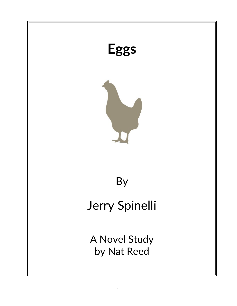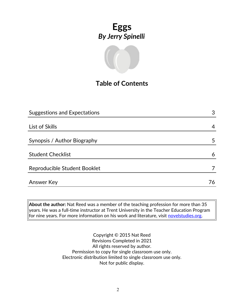

## **Table of Contents**

| <b>Suggestions and Expectations</b> | 3  |
|-------------------------------------|----|
|                                     |    |
| List of Skills                      | 4  |
|                                     |    |
| Synopsis / Author Biography         | 5  |
|                                     |    |
| <b>Student Checklist</b>            | 6  |
| Reproducible Student Booklet        |    |
|                                     |    |
| Answer Key                          | 76 |

**About the author:** Nat Reed was a member of the teaching profession for more than 35 years. He was a full-time instructor at Trent University in the Teacher Education Program for nine years. For more information on his work and literature, visit [novelstudies.org.](http://www.novelstudies.org/)

> Copyright © 2015 Nat Reed Revisions Completed in 2021 All rights reserved by author. Permission to copy for single classroom use only. Electronic distribution limited to single classroom use only. Not for public display.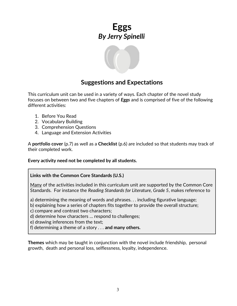

#### **Suggestions and Expectations**

This curriculum unit can be used in a variety of ways. Each chapter of the novel study focuses on between two and five chapters of *Eggs* and is comprised of five of the following different activities:

- 1. Before You Read
- 2. Vocabulary Building
- 3. Comprehension Questions
- 4. Language and Extension Activities

A **portfolio cover** (p.7) as well as a **Checklist** (p.6) are included so that students may track of their completed work.

**Every activity need not be completed by all students.** 

#### **Links with the Common Core Standards (U.S.)**

Many of the activities included in this curriculum unit are supported by the Common Core Standards. For instance the *Reading Standards for Literature, Grade 5*, makes reference to

a) determining the meaning of words and phrases. . . including figurative language;

b) explaining how a series of chapters fits together to provide the overall structure;

c) compare and contrast two characters;

d) determine how characters … respond to challenges;

e) drawing inferences from the text;

f) determining a theme of a story . . . **and many others.**

**Themes** which may be taught in conjunction with the novel include friendship, personal growth, death and personal loss, selflessness, loyalty, independence.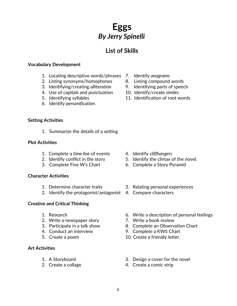## **List of Skills**

#### **Vocabulary Development**

- 1. Locating descriptive words/phrases 7. Identify *anagrams*
- 2. Listing synonyms/homophones 8. Listing compound words
- 3. Identifying/creating *alliteration* 9. Identifying parts of speech
- 4. Use of capitals and punctuation 10. Identify/create *similes*
- 
- 6. Identify *personification*.
- **Setting Activities**
	- 1. Summarize the details of a setting

#### **Plot Activities**

- 1. Complete a *time line* of events 4. Identify *cliffhangers*
- 
- 

#### **Character Activities**

- 
- 2. Identify the protagonist/antagonist 4. Compare characters

#### **Creative and Critical Thinking**

- 
- 2. Write a newspaper story **7. Write a book review**
- 
- 
- 

#### **Art Activities**

- 
- 
- 
- 
- 
- 
- 5. Identifying syllables 11. Identification of root words

- 
- 2. Identify conflict in the story 5. Identify the climax of the novel.
- 3. Complete Five W's Chart 6. Complete a Story Pyramid
- 1. Determine character traits 3. Relating personal experiences
	-
- 1. Research 6. Write a description of personal feelings
	-
- 3. Participate in a talk show 8. Complete an Observation Chart
- 4. Conduct an interview 9. Complete a KWS Chart
- 5. Create a poem 10. Create a friendly letter.
- 1. A Storyboard 3. Design a cover for the novel
- 2. Create a collage 4. Create a comic strip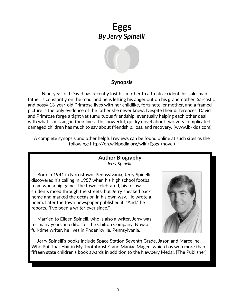

#### **Synopsis**

 Nine-year-old David has recently lost his mother to a freak accident, his salesman father is constantly on the road, and he is letting his anger out on his grandmother. Sarcastic and bossy 13-year-old Primrose lives with her childlike, fortuneteller mother, and a framed picture is the only evidence of the father she never knew. Despite their differences, David and Primrose forge a tight yet tumultuous friendship, eventually helping each other deal with what is missing in their lives. This powerful, quirky novel about two very complicated, damaged children has much to say about friendship, loss, and recovery. [www.lb-kids.com]

A complete synopsis and other helpful reviews can be found online at such sites as the following: http://en.wikipedia.org/wiki/Eggs\_(novel)

#### **Author Biography** *Jerry Spinelli*

 Born in 1941 in Norristown, Pennsylvania, Jerry Spinelli discovered his calling in 1957 when his high school football team won a big game. The town celebrated, his fellow students raced through the streets, but Jerry sneaked back home and marked the occasion in his own way. He wrote a poem. Later the town newspaper published it. "And," he reports, "I've been a writer ever since."

 Married to Eileen Spinelli, who is also a writer, Jerry was for many years an editor for the Chilton Company. Now a full-time writer, he lives in Phoenixville, Pennsylvania.



 Jerry Spinelli's books include Space Station Seventh Grade, Jason and Marceline, Who Put That Hair in My Toothbrush?, and Maniac Magee, which has won more than fifteen state children's book awards in addition to the Newbery Medal. [The Publisher]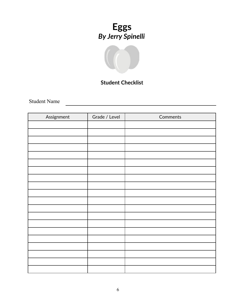

## **Student Checklist**

<u> 1989 - Johann Barn, mars eta bainar eta idazlea (</u>

Student Name

| Assignment | Grade / Level | Comments |
|------------|---------------|----------|
|            |               |          |
|            |               |          |
|            |               |          |
|            |               |          |
|            |               |          |
|            |               |          |
|            |               |          |
|            |               |          |
|            |               |          |
|            |               |          |
|            |               |          |
|            |               |          |
|            |               |          |
|            |               |          |
|            |               |          |
|            |               |          |
|            |               |          |
|            |               |          |
|            |               |          |
|            |               |          |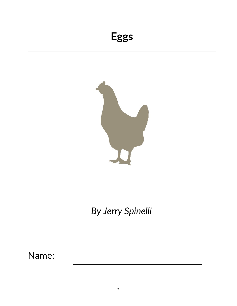# **Eggs**



*By Jerry Spinelli*

Name: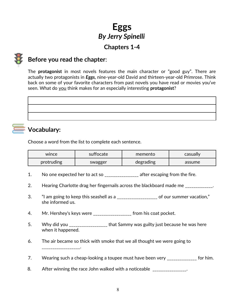## **Chapters 1-4**



## **Before you read the chapter**:

The **protagonist** in most novels features the main character or "good guy". There are actually two protagonists in *Eggs,* nine-year-old David and thirteen-year-old Primrose. Think back on some of your favorite characters from past novels you have read or movies you've seen. What do you think makes for an especially interesting **protagonist**?

<u> 1989 - Johann Barn, fransk politik (f. 1989)</u>

## **Vocabulary:**

Choose a word from the list to complete each sentence.

| wince      | suffocate | memento   | casually |
|------------|-----------|-----------|----------|
| protruding | swagger   | degrading | assume   |

- 1. No one expected her to act so \_\_\_\_\_\_\_\_\_\_\_\_\_\_\_\_\_\_ after escaping from the fire.
- 2. Hearing Charlotte drag her fingernails across the blackboard made me \_\_\_\_\_\_\_\_\_\_\_.
- 3. "I am going to keep this seashell as a \_\_\_\_\_\_\_\_\_\_\_\_\_\_\_\_\_\_\_ of our summer vacation," she informed us.
- 4. Mr. Hershey's keys were \_\_\_\_\_\_\_\_\_\_\_\_\_\_\_\_\_\_ from his coat pocket.
- 5. Why did you \_\_\_\_\_\_\_\_\_\_\_\_\_\_\_\_\_\_\_\_ that Sammy was guilty just because he was here when it happened.
- 6. The air became so thick with smoke that we all thought we were going to \_\_\_\_\_\_\_\_\_\_\_\_\_\_\_\_\_\_.
- 7. Wearing such a cheap-looking a toupee must have been very \_\_\_\_\_\_\_\_\_\_\_\_\_\_ for him.
- 8. After winning the race John walked with a noticeable \_\_\_\_\_\_\_\_\_\_\_\_\_\_\_.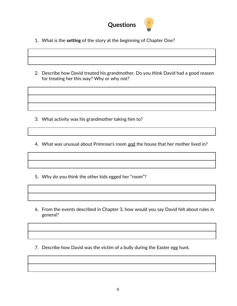

- 1. What is the **setting** of the story at the beginning of Chapter One?
- 2. Describe how David treated his grandmother. Do you think David had a good reason for treating her this way? Why or why not?

3. What activity was his grandmother taking him to?

4. What was unusual about Primrose's room and the house that her mother lived in?

- 5. Why do you think the other kids egged her "room"?
- 6. From the events described in Chapter 3, how would you say David felt about rules in general?
- 7. Describe how David was the victim of a bully during the Easter egg hunt.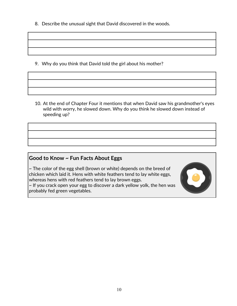8. Describe the unusual sight that David discovered in the woods.

9. Why do you think that David told the girl about his mother?

10. At the end of Chapter Four it mentions that when David saw his grandmother's eyes wild with worry, he slowed down. Why do you think he slowed down instead of speeding up?

#### **Good to Know ~ Fun Facts About Eggs**

~ The color of the egg shell (brown or white) depends on the breed of chicken which laid it. Hens with white feathers tend to lay white eggs, whereas hens with red feathers tend to lay brown eggs.

~ If you crack open your egg to discover a dark yellow yolk, the hen was probably fed green vegetables.

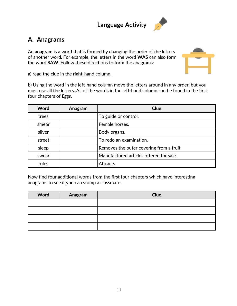# **Language Activity**



## **A. Anagrams**

An **anagram** is a word that is formed by changing the order of the letters of another word. For example, the letters in the word **WAS** can also form the word **SAW**. Follow these directions to form the anagrams:



a) read the clue in the right-hand column.

b) Using the word in the left-hand column move the letters around in any order, but you must use all the letters. All of the words in the left-hand column can be found in the first four chapters of *Eggs*.

| Word   | Anagram | Clue                                     |
|--------|---------|------------------------------------------|
| trees  |         | To guide or control.                     |
| smear  |         | Female horses.                           |
| sliver |         | Body organs.                             |
| street |         | To redo an examination.                  |
| sleep  |         | Removes the outer covering from a fruit. |
| swear  |         | Manufactured articles offered for sale.  |
| rules  |         | Attracts.                                |

Now find four additional words from the first four chapters which have interesting anagrams to see if you can stump a classmate.

| Word | Anagram | Clue |
|------|---------|------|
|      |         |      |
|      |         |      |
|      |         |      |
|      |         |      |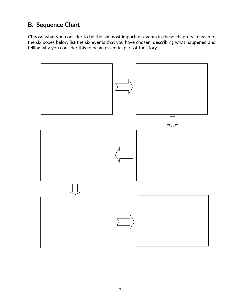## **B. Sequence Chart**

Choose what you consider to be the six most important events in these chapters. In each of the six boxes below list the six events that you have chosen, describing what happened and telling why you consider this to be an essential part of the story.

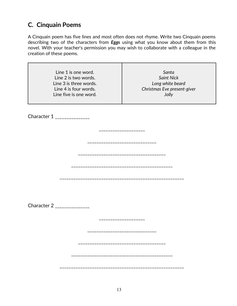## **C. Cinquain Poems**

A Cinquain poem has five lines and most often does not rhyme. Write two Cinquain poems describing two of the characters from *Eggs* using what you know about them from this novel. With your teacher's permission you may wish to collaborate with a colleague in the creation of these poems.

| Line 1 is one word.<br>Line 2 is two words.<br>Line 3 is three words.<br>Line 4 is four words.<br>Line five is one word. | Santa<br><b>Saint Nick</b><br>Long white beard<br>Christmas Eve present-giver<br>Jolly |
|--------------------------------------------------------------------------------------------------------------------------|----------------------------------------------------------------------------------------|
| Character 1 _______________                                                                                              |                                                                                        |
|                                                                                                                          |                                                                                        |
|                                                                                                                          |                                                                                        |
|                                                                                                                          | ___________________________                                                            |
|                                                                                                                          |                                                                                        |
| Character 2 _______________                                                                                              |                                                                                        |
|                                                                                                                          | ---------------                                                                        |
|                                                                                                                          | ---------------------                                                                  |
|                                                                                                                          | -------------------------------------                                                  |
|                                                                                                                          |                                                                                        |
|                                                                                                                          |                                                                                        |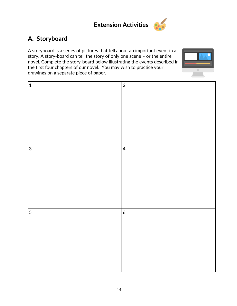

## **A. Storyboard**

A storyboard is a series of pictures that tell about an important event in a story. A story-board can tell the story of only one scene – or the entire novel. Complete the story-board below illustrating the events described in the first four chapters of our novel. You may wish to practice your drawings on a separate piece of paper.